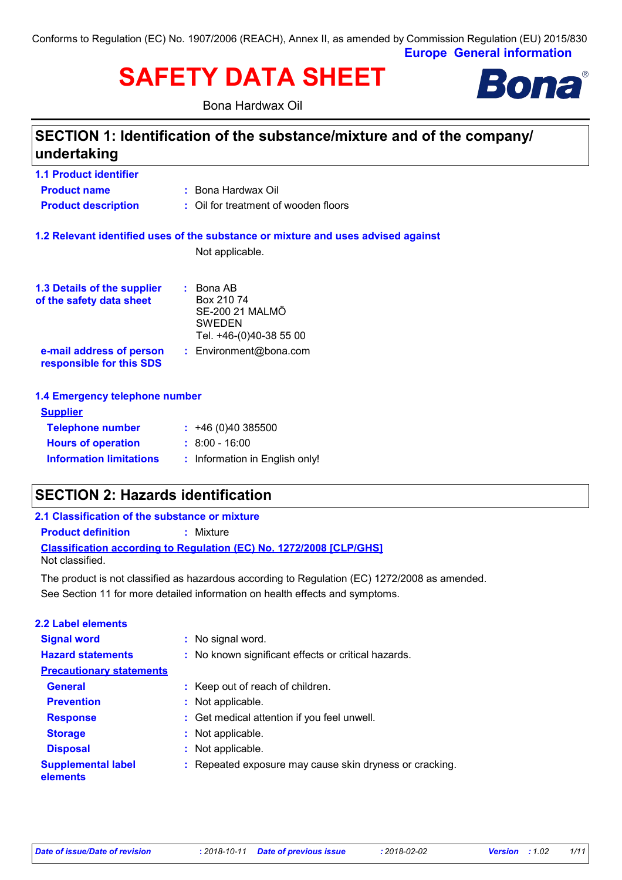**Europe General information** Conforms to Regulation (EC) No. 1907/2006 (REACH), Annex II, as amended by Commission Regulation (EU) 2015/830

# **SAFETY DATA SHEET**

Bona Hardwax Oil



### **SECTION 1: Identification of the substance/mixture and of the company/ undertaking**

| <b>1.1 Product identifier</b>                                                     |                                      |  |
|-----------------------------------------------------------------------------------|--------------------------------------|--|
| <b>Product name</b>                                                               | : Bona Hardwax Oil                   |  |
| <b>Product description</b>                                                        | : Oil for treatment of wooden floors |  |
| 1.2 Relevant identified uses of the substance or mixture and uses advised against |                                      |  |
|                                                                                   | Not applicable.                      |  |
| 1.3 Details of the supplier                                                       | $\therefore$ Bona AB                 |  |
| of the safety data sheet                                                          | Box 210 74<br>SE-200 21 MALMO        |  |
|                                                                                   | <b>SWEDEN</b>                        |  |
|                                                                                   | Tel. +46-(0)40-38 55 00              |  |
| e-mail address of person<br>responsible for this SDS                              | : Environment@bona.com               |  |
| 1.4 Emergency telephone number                                                    |                                      |  |
| <b>Supplier</b>                                                                   |                                      |  |
| <b>Telephone number</b>                                                           | : 46(0)40385500                      |  |

| <b>TEIGNHOTIG HUIHDEI</b>      | 1.740(0)4030000                |
|--------------------------------|--------------------------------|
| <b>Hours of operation</b>      | $\pm$ 8:00 - 16:00             |
| <b>Information limitations</b> | : Information in English only! |

### **SECTION 2: Hazards identification**

**Product definition :** Mixture

**Classification according to Regulation (EC) No. 1272/2008 [CLP/GHS]** Not classified.

See Section 11 for more detailed information on health effects and symptoms. The product is not classified as hazardous according to Regulation (EC) 1272/2008 as amended.

| 2.2 Label elements                    |                                                         |
|---------------------------------------|---------------------------------------------------------|
| <b>Signal word</b>                    | : No signal word.                                       |
| <b>Hazard statements</b>              | : No known significant effects or critical hazards.     |
| <b>Precautionary statements</b>       |                                                         |
| <b>General</b>                        | : Keep out of reach of children.                        |
| <b>Prevention</b>                     | : Not applicable.                                       |
| <b>Response</b>                       | : Get medical attention if you feel unwell.             |
| <b>Storage</b>                        | : Not applicable.                                       |
| <b>Disposal</b>                       | : Not applicable.                                       |
| <b>Supplemental label</b><br>elements | : Repeated exposure may cause skin dryness or cracking. |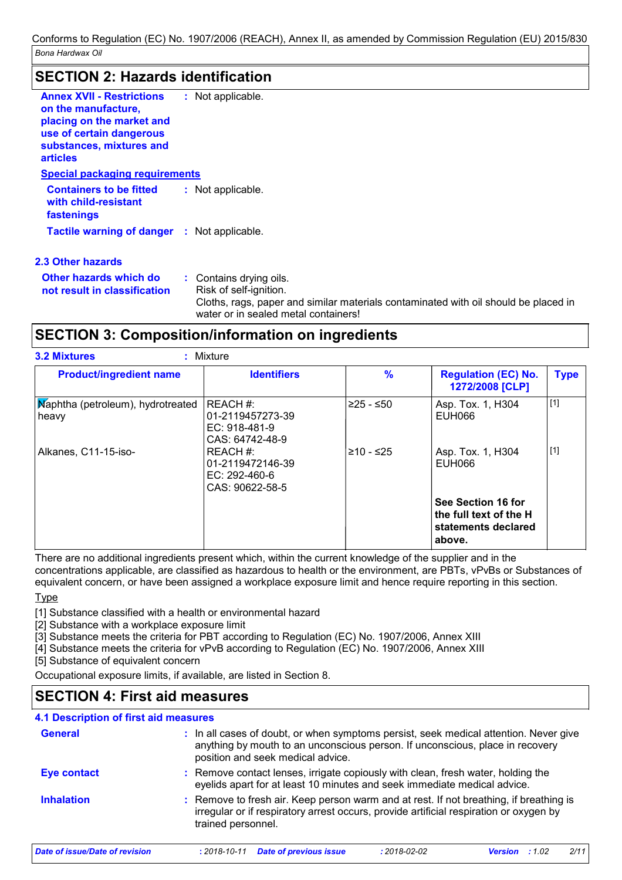### **SECTION 2: Hazards identification**

| <b>Annex XVII - Restrictions</b><br>on the manufacture.<br>placing on the market and<br>use of certain dangerous<br>substances, mixtures and<br><b>articles</b> | : Not applicable. |
|-----------------------------------------------------------------------------------------------------------------------------------------------------------------|-------------------|
| Special packaging requirements                                                                                                                                  |                   |
| <b>Containers to be fitted</b><br>with child-resistant<br>fastenings                                                                                            | : Not applicable. |
| <b>Tactile warning of danger : Not applicable.</b>                                                                                                              |                   |
| 2.3 Other hazards                                                                                                                                               |                   |
|                                                                                                                                                                 |                   |

| Other hazards which do<br>not result in classification . | : Contains drying oils.<br>Risk of self-ignition.                                   |
|----------------------------------------------------------|-------------------------------------------------------------------------------------|
|                                                          | Cloths, rags, paper and similar materials contaminated with oil should be placed in |
|                                                          | water or in sealed metal containers!                                                |

### **SECTION 3: Composition/information on ingredients**

| <b>Product/ingredient name</b>             | <b>Identifiers</b>                                                 | $\frac{9}{6}$ | <b>Regulation (EC) No.</b><br>1272/2008 [CLP]                                 | <b>Type</b> |
|--------------------------------------------|--------------------------------------------------------------------|---------------|-------------------------------------------------------------------------------|-------------|
| Maphtha (petroleum), hydrotreated<br>heavy | REACH #:<br>01-2119457273-39<br>$EC: 918-481-9$<br>CAS: 64742-48-9 | 225 - ≤50     | Asp. Tox. 1, H304<br>EUH066                                                   | $[1]$       |
| Alkanes, C11-15-iso-                       | REACH #:<br>01-2119472146-39<br>EC: $292-460-6$<br>CAS: 90622-58-5 | ≥10 - ≤25     | Asp. Tox. 1, H304<br>EUH066                                                   | $[1]$       |
|                                            |                                                                    |               | See Section 16 for<br>the full text of the H<br>statements declared<br>above. |             |

There are no additional ingredients present which, within the current knowledge of the supplier and in the concentrations applicable, are classified as hazardous to health or the environment, are PBTs, vPvBs or Substances of equivalent concern, or have been assigned a workplace exposure limit and hence require reporting in this section.

**Type** 

[1] Substance classified with a health or environmental hazard

[2] Substance with a workplace exposure limit

[3] Substance meets the criteria for PBT according to Regulation (EC) No. 1907/2006, Annex XIII

[4] Substance meets the criteria for vPvB according to Regulation (EC) No. 1907/2006, Annex XIII

[5] Substance of equivalent concern

Occupational exposure limits, if available, are listed in Section 8.

### **SECTION 4: First aid measures**

| 4.1 Description of first aid measures |                                                                                                                                                                                                             |
|---------------------------------------|-------------------------------------------------------------------------------------------------------------------------------------------------------------------------------------------------------------|
| <b>General</b>                        | : In all cases of doubt, or when symptoms persist, seek medical attention. Never give<br>anything by mouth to an unconscious person. If unconscious, place in recovery<br>position and seek medical advice. |
| <b>Eye contact</b>                    | : Remove contact lenses, irrigate copiously with clean, fresh water, holding the<br>eyelids apart for at least 10 minutes and seek immediate medical advice.                                                |
| <b>Inhalation</b>                     | : Remove to fresh air. Keep person warm and at rest. If not breathing, if breathing is<br>irregular or if respiratory arrest occurs, provide artificial respiration or oxygen by<br>trained personnel.      |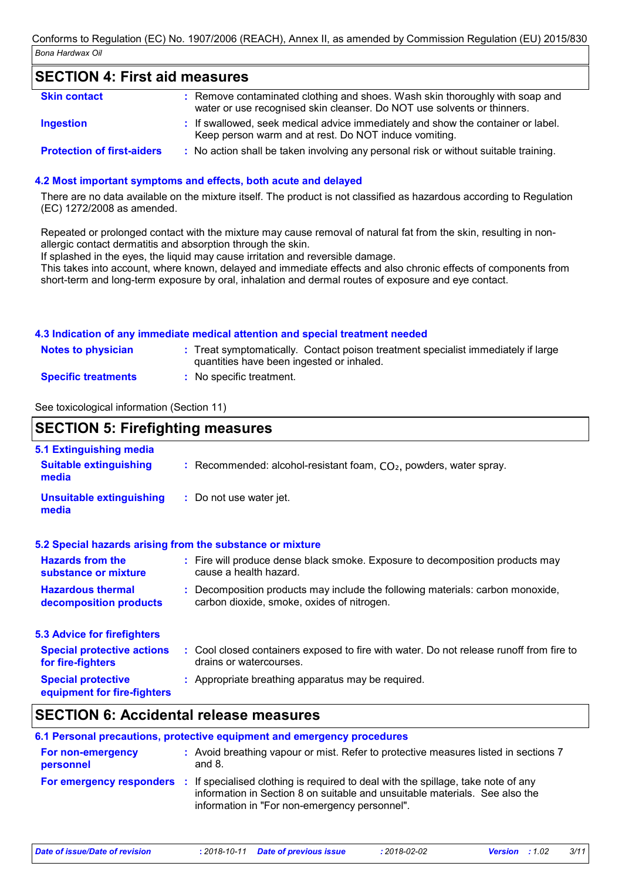### **SECTION 4: First aid measures**

| <b>Skin contact</b>               | : Remove contaminated clothing and shoes. Wash skin thoroughly with soap and<br>water or use recognised skin cleanser. Do NOT use solvents or thinners. |
|-----------------------------------|---------------------------------------------------------------------------------------------------------------------------------------------------------|
| Ingestion                         | : If swallowed, seek medical advice immediately and show the container or label.<br>Keep person warm and at rest. Do NOT induce vomiting.               |
| <b>Protection of first-aiders</b> | : No action shall be taken involving any personal risk or without suitable training.                                                                    |

#### **4.2 Most important symptoms and effects, both acute and delayed**

There are no data available on the mixture itself. The product is not classified as hazardous according to Regulation (EC) 1272/2008 as amended.

Repeated or prolonged contact with the mixture may cause removal of natural fat from the skin, resulting in nonallergic contact dermatitis and absorption through the skin.

If splashed in the eyes, the liquid may cause irritation and reversible damage.

This takes into account, where known, delayed and immediate effects and also chronic effects of components from short-term and long-term exposure by oral, inhalation and dermal routes of exposure and eye contact.

#### **4.3 Indication of any immediate medical attention and special treatment needed**

| <b>Notes to physician</b>  | : Treat symptomatically. Contact poison treatment specialist immediately if large<br>quantities have been ingested or inhaled. |
|----------------------------|--------------------------------------------------------------------------------------------------------------------------------|
| <b>Specific treatments</b> | No specific treatment.                                                                                                         |

See toxicological information (Section 11)

| <b>SECTION 5: Firefighting measures</b>                           |                                                                                                                              |
|-------------------------------------------------------------------|------------------------------------------------------------------------------------------------------------------------------|
| 5.1 Extinguishing media<br><b>Suitable extinguishing</b><br>media | : Recommended: alcohol-resistant foam, $CO2$ , powders, water spray.                                                         |
| <b>Unsuitable extinguishing</b><br>media                          | : Do not use water jet.                                                                                                      |
|                                                                   | 5.2 Special hazards arising from the substance or mixture                                                                    |
| <b>Hazards from the</b><br>substance or mixture                   | : Fire will produce dense black smoke. Exposure to decomposition products may<br>cause a health hazard.                      |
| <b>Hazardous thermal</b><br>decomposition products                | : Decomposition products may include the following materials: carbon monoxide,<br>carbon dioxide, smoke, oxides of nitrogen. |
| <b>5.3 Advice for firefighters</b>                                |                                                                                                                              |
| <b>Special protective actions</b><br>for fire-fighters            | : Cool closed containers exposed to fire with water. Do not release runoff from fire to<br>drains or watercourses.           |
| <b>Special protective</b><br>equipment for fire-fighters          | : Appropriate breathing apparatus may be required.                                                                           |

### **SECTION 6: Accidental release measures**

|                                       | 6.1 Personal precautions, protective equipment and emergency procedures                                                                                                                                                                           |
|---------------------------------------|---------------------------------------------------------------------------------------------------------------------------------------------------------------------------------------------------------------------------------------------------|
| <b>For non-emergency</b><br>personnel | : Avoid breathing vapour or mist. Refer to protective measures listed in sections 7<br>and $8.$                                                                                                                                                   |
|                                       | <b>For emergency responders</b> : If specialised clothing is required to deal with the spillage, take note of any<br>information in Section 8 on suitable and unsuitable materials. See also the<br>information in "For non-emergency personnel". |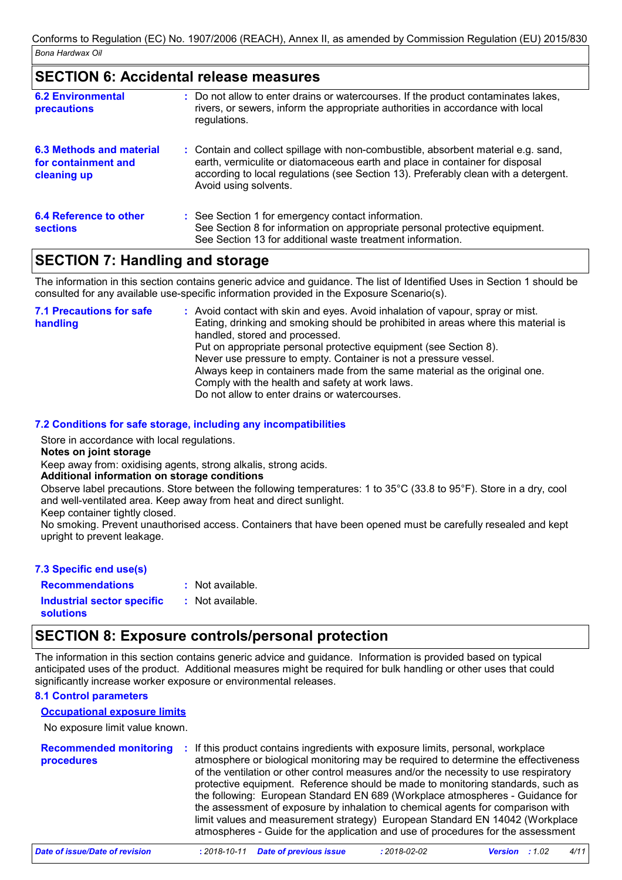#### **SECTION 6: Accidental release measures**

| <b>6.2 Environmental</b><br><b>precautions</b>                 | : Do not allow to enter drains or watercourses. If the product contaminates lakes,<br>rivers, or sewers, inform the appropriate authorities in accordance with local<br>regulations.                                                                                               |
|----------------------------------------------------------------|------------------------------------------------------------------------------------------------------------------------------------------------------------------------------------------------------------------------------------------------------------------------------------|
| 6.3 Methods and material<br>for containment and<br>cleaning up | : Contain and collect spillage with non-combustible, absorbent material e.g. sand,<br>earth, vermiculite or diatomaceous earth and place in container for disposal<br>according to local regulations (see Section 13). Preferably clean with a detergent.<br>Avoid using solvents. |
| 6.4 Reference to other<br><b>sections</b>                      | : See Section 1 for emergency contact information.<br>See Section 8 for information on appropriate personal protective equipment.<br>See Section 13 for additional waste treatment information.                                                                                    |

### **SECTION 7: Handling and storage**

The information in this section contains generic advice and guidance. The list of Identified Uses in Section 1 should be consulted for any available use-specific information provided in the Exposure Scenario(s).

| : Avoid contact with skin and eyes. Avoid inhalation of vapour, spray or mist.    |
|-----------------------------------------------------------------------------------|
| Eating, drinking and smoking should be prohibited in areas where this material is |
| handled, stored and processed.                                                    |
| Put on appropriate personal protective equipment (see Section 8).                 |
| Never use pressure to empty. Container is not a pressure vessel.                  |
| Always keep in containers made from the same material as the original one.        |
| Comply with the health and safety at work laws.                                   |
| Do not allow to enter drains or watercourses.                                     |
|                                                                                   |

#### **7.2 Conditions for safe storage, including any incompatibilities**

Store in accordance with local regulations.

#### **Notes on joint storage**

Keep away from: oxidising agents, strong alkalis, strong acids.

#### **Additional information on storage conditions**

Observe label precautions. Store between the following temperatures: 1 to 35°C (33.8 to 95°F). Store in a dry, cool and well-ventilated area. Keep away from heat and direct sunlight.

Keep container tightly closed.

No smoking. Prevent unauthorised access. Containers that have been opened must be carefully resealed and kept upright to prevent leakage.

#### **7.3 Specific end use(s)**

: Not available.

**Recommendations : Industrial sector specific : solutions**

#### : Not available.

### **SECTION 8: Exposure controls/personal protection**

The information in this section contains generic advice and guidance. Information is provided based on typical anticipated uses of the product. Additional measures might be required for bulk handling or other uses that could significantly increase worker exposure or environmental releases.

### **8.1 Control parameters**

No exposure limit value known. **Occupational exposure limits**

| <b>Recommended monitoring</b><br><b>procedures</b> | : If this product contains ingredients with exposure limits, personal, workplace<br>atmosphere or biological monitoring may be required to determine the effectiveness<br>of the ventilation or other control measures and/or the necessity to use respiratory<br>protective equipment. Reference should be made to monitoring standards, such as<br>the following: European Standard EN 689 (Workplace atmospheres - Guidance for<br>the assessment of exposure by inhalation to chemical agents for comparison with<br>limit values and measurement strategy) European Standard EN 14042 (Workplace<br>atmospheres - Guide for the application and use of procedures for the assessment |
|----------------------------------------------------|-------------------------------------------------------------------------------------------------------------------------------------------------------------------------------------------------------------------------------------------------------------------------------------------------------------------------------------------------------------------------------------------------------------------------------------------------------------------------------------------------------------------------------------------------------------------------------------------------------------------------------------------------------------------------------------------|
|                                                    |                                                                                                                                                                                                                                                                                                                                                                                                                                                                                                                                                                                                                                                                                           |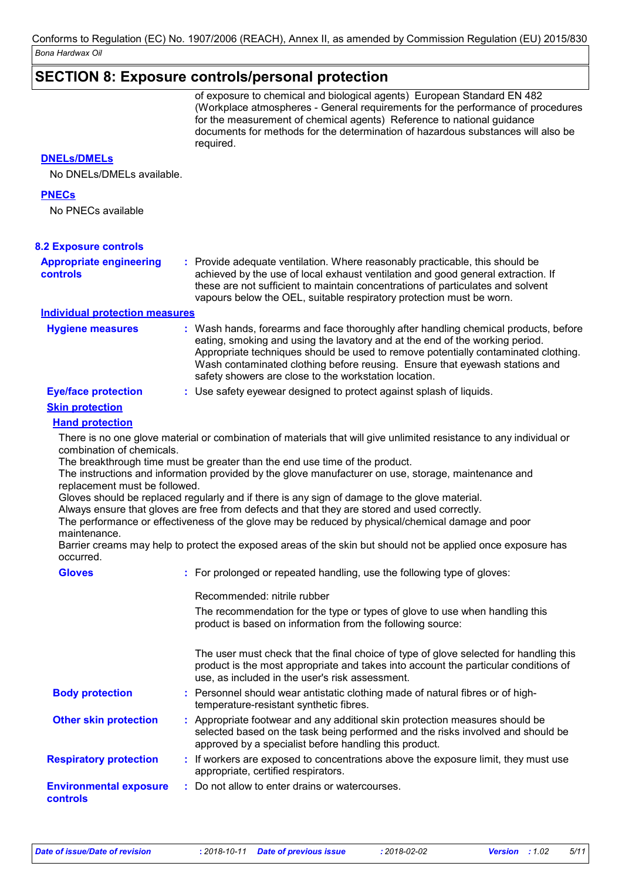### **SECTION 8: Exposure controls/personal protection**

of exposure to chemical and biological agents) European Standard EN 482 (Workplace atmospheres - General requirements for the performance of procedures for the measurement of chemical agents) Reference to national guidance documents for methods for the determination of hazardous substances will also be required.

#### **DNELs/DMELs**

No DNELs/DMELs available.

#### **PNECs**

No PNECs available

| <b>INU FINEUS AVAIIADIC</b>                                                             |                                                                                                                                                                                                                                                                                                                                                                                                                                                                                                                                                                                                                                                                                                                                  |
|-----------------------------------------------------------------------------------------|----------------------------------------------------------------------------------------------------------------------------------------------------------------------------------------------------------------------------------------------------------------------------------------------------------------------------------------------------------------------------------------------------------------------------------------------------------------------------------------------------------------------------------------------------------------------------------------------------------------------------------------------------------------------------------------------------------------------------------|
| <b>8.2 Exposure controls</b>                                                            |                                                                                                                                                                                                                                                                                                                                                                                                                                                                                                                                                                                                                                                                                                                                  |
| <b>Appropriate engineering</b><br><b>controls</b>                                       | : Provide adequate ventilation. Where reasonably practicable, this should be<br>achieved by the use of local exhaust ventilation and good general extraction. If<br>these are not sufficient to maintain concentrations of particulates and solvent<br>vapours below the OEL, suitable respiratory protection must be worn.                                                                                                                                                                                                                                                                                                                                                                                                      |
| <b>Individual protection measures</b>                                                   |                                                                                                                                                                                                                                                                                                                                                                                                                                                                                                                                                                                                                                                                                                                                  |
| <b>Hygiene measures</b>                                                                 | : Wash hands, forearms and face thoroughly after handling chemical products, before<br>eating, smoking and using the lavatory and at the end of the working period.<br>Appropriate techniques should be used to remove potentially contaminated clothing.<br>Wash contaminated clothing before reusing. Ensure that eyewash stations and<br>safety showers are close to the workstation location.                                                                                                                                                                                                                                                                                                                                |
| <b>Eye/face protection</b>                                                              | : Use safety eyewear designed to protect against splash of liquids.                                                                                                                                                                                                                                                                                                                                                                                                                                                                                                                                                                                                                                                              |
| <b>Skin protection</b>                                                                  |                                                                                                                                                                                                                                                                                                                                                                                                                                                                                                                                                                                                                                                                                                                                  |
| <b>Hand protection</b>                                                                  |                                                                                                                                                                                                                                                                                                                                                                                                                                                                                                                                                                                                                                                                                                                                  |
| combination of chemicals.<br>replacement must be followed.<br>maintenance.<br>occurred. | There is no one glove material or combination of materials that will give unlimited resistance to any individual or<br>The breakthrough time must be greater than the end use time of the product.<br>The instructions and information provided by the glove manufacturer on use, storage, maintenance and<br>Gloves should be replaced regularly and if there is any sign of damage to the glove material.<br>Always ensure that gloves are free from defects and that they are stored and used correctly.<br>The performance or effectiveness of the glove may be reduced by physical/chemical damage and poor<br>Barrier creams may help to protect the exposed areas of the skin but should not be applied once exposure has |
| <b>Gloves</b>                                                                           | : For prolonged or repeated handling, use the following type of gloves:                                                                                                                                                                                                                                                                                                                                                                                                                                                                                                                                                                                                                                                          |
|                                                                                         | Recommended: nitrile rubber                                                                                                                                                                                                                                                                                                                                                                                                                                                                                                                                                                                                                                                                                                      |
|                                                                                         | The recommendation for the type or types of glove to use when handling this<br>product is based on information from the following source:                                                                                                                                                                                                                                                                                                                                                                                                                                                                                                                                                                                        |
|                                                                                         | The user must check that the final choice of type of glove selected for handling this<br>product is the most appropriate and takes into account the particular conditions of<br>use, as included in the user's risk assessment.                                                                                                                                                                                                                                                                                                                                                                                                                                                                                                  |
| <b>Body protection</b>                                                                  | : Personnel should wear antistatic clothing made of natural fibres or of high-<br>temperature-resistant synthetic fibres.                                                                                                                                                                                                                                                                                                                                                                                                                                                                                                                                                                                                        |
| <b>Other skin protection</b>                                                            | : Appropriate footwear and any additional skin protection measures should be<br>selected based on the task being performed and the risks involved and should be<br>approved by a specialist before handling this product.                                                                                                                                                                                                                                                                                                                                                                                                                                                                                                        |
| <b>Respiratory protection</b>                                                           | : If workers are exposed to concentrations above the exposure limit, they must use<br>appropriate, certified respirators.                                                                                                                                                                                                                                                                                                                                                                                                                                                                                                                                                                                                        |
| <b>Environmental exposure</b><br><b>controls</b>                                        | : Do not allow to enter drains or watercourses.                                                                                                                                                                                                                                                                                                                                                                                                                                                                                                                                                                                                                                                                                  |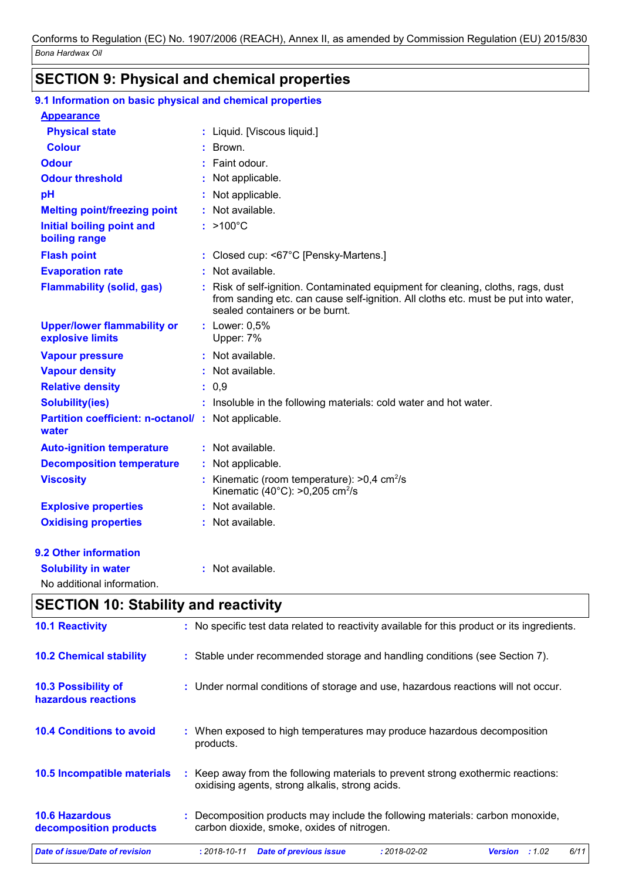### **SECTION 9: Physical and chemical properties**

| 9.1 Information on basic physical and chemical properties    |                                                                                                                                                                                                        |
|--------------------------------------------------------------|--------------------------------------------------------------------------------------------------------------------------------------------------------------------------------------------------------|
| <b>Appearance</b>                                            |                                                                                                                                                                                                        |
| <b>Physical state</b>                                        | : Liquid. [Viscous liquid.]                                                                                                                                                                            |
| <b>Colour</b>                                                | Brown.                                                                                                                                                                                                 |
| <b>Odour</b>                                                 | Faint odour.                                                                                                                                                                                           |
| <b>Odour threshold</b>                                       | Not applicable.                                                                                                                                                                                        |
| pH                                                           | Not applicable.                                                                                                                                                                                        |
| <b>Melting point/freezing point</b>                          | : Not available.                                                                                                                                                                                       |
| Initial boiling point and<br>boiling range                   | $: >100^{\circ}C$                                                                                                                                                                                      |
| <b>Flash point</b>                                           | : Closed cup: <67°C [Pensky-Martens.]                                                                                                                                                                  |
| <b>Evaporation rate</b>                                      | : Not available.                                                                                                                                                                                       |
| <b>Flammability (solid, gas)</b>                             | Risk of self-ignition. Contaminated equipment for cleaning, cloths, rags, dust<br>from sanding etc. can cause self-ignition. All cloths etc. must be put into water,<br>sealed containers or be burnt. |
| <b>Upper/lower flammability or</b><br>explosive limits       | : Lower: 0,5%<br>Upper: 7%                                                                                                                                                                             |
| <b>Vapour pressure</b>                                       | : Not available.                                                                                                                                                                                       |
| <b>Vapour density</b>                                        | : Not available.                                                                                                                                                                                       |
| <b>Relative density</b>                                      | : 0,9                                                                                                                                                                                                  |
| <b>Solubility(ies)</b>                                       | : Insoluble in the following materials: cold water and hot water.                                                                                                                                      |
| Partition coefficient: n-octanol/ : Not applicable.<br>water |                                                                                                                                                                                                        |
| <b>Auto-ignition temperature</b>                             | : Not available.                                                                                                                                                                                       |
| <b>Decomposition temperature</b>                             | : Not applicable.                                                                                                                                                                                      |
| <b>Viscosity</b>                                             | Kinematic (room temperature): $>0.4$ cm <sup>2</sup> /s<br>Kinematic (40 $^{\circ}$ C): >0,205 cm <sup>2</sup> /s                                                                                      |
| <b>Explosive properties</b>                                  | : Not available.                                                                                                                                                                                       |
| <b>Oxidising properties</b>                                  | : Not available.                                                                                                                                                                                       |
| <b>9.2 Other information</b>                                 |                                                                                                                                                                                                        |
| <b>Solubility in water</b>                                   | : Not available.                                                                                                                                                                                       |
| No additional information.                                   |                                                                                                                                                                                                        |

### **SECTION 10: Stability and reactivity**

| <b>Date of issue/Date of revision</b>             | 6/11<br><b>Date of previous issue</b><br>$: 2018 - 02 - 02$<br>$: 2018 - 10 - 11$<br><b>Version</b><br>:1.02                        |
|---------------------------------------------------|-------------------------------------------------------------------------------------------------------------------------------------|
| <b>10.6 Hazardous</b><br>decomposition products   | : Decomposition products may include the following materials: carbon monoxide,<br>carbon dioxide, smoke, oxides of nitrogen.        |
| 10.5 Incompatible materials                       | : Keep away from the following materials to prevent strong exothermic reactions:<br>oxidising agents, strong alkalis, strong acids. |
| <b>10.4 Conditions to avoid</b>                   | : When exposed to high temperatures may produce hazardous decomposition<br>products.                                                |
| <b>10.3 Possibility of</b><br>hazardous reactions | : Under normal conditions of storage and use, hazardous reactions will not occur.                                                   |
| <b>10.2 Chemical stability</b>                    | : Stable under recommended storage and handling conditions (see Section 7).                                                         |
| <b>10.1 Reactivity</b>                            | : No specific test data related to reactivity available for this product or its ingredients.                                        |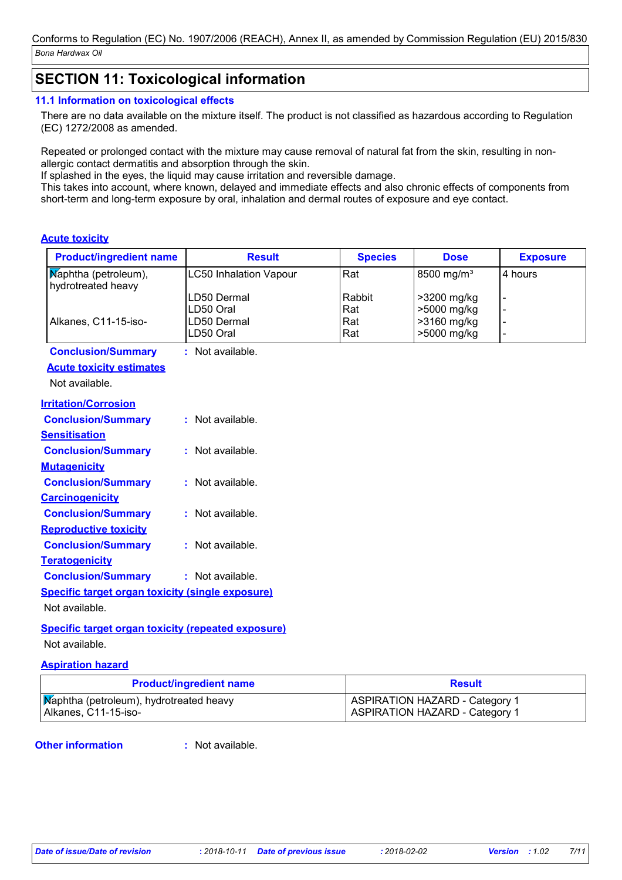### **SECTION 11: Toxicological information**

#### **11.1 Information on toxicological effects**

There are no data available on the mixture itself. The product is not classified as hazardous according to Regulation (EC) 1272/2008 as amended.

Repeated or prolonged contact with the mixture may cause removal of natural fat from the skin, resulting in nonallergic contact dermatitis and absorption through the skin.

If splashed in the eyes, the liquid may cause irritation and reversible damage.

This takes into account, where known, delayed and immediate effects and also chronic effects of components from short-term and long-term exposure by oral, inhalation and dermal routes of exposure and eye contact.

#### **Acute toxicity**

| <b>Product/ingredient name</b>                          | <b>Result</b>                 | <b>Species</b> | <b>Dose</b>            | <b>Exposure</b> |
|---------------------------------------------------------|-------------------------------|----------------|------------------------|-----------------|
| Maphtha (petroleum),<br>hydrotreated heavy              | <b>LC50 Inhalation Vapour</b> | Rat            | 8500 mg/m <sup>3</sup> | 4 hours         |
|                                                         | LD50 Dermal                   | Rabbit         | >3200 mg/kg            |                 |
|                                                         | LD50 Oral                     | Rat            | >5000 mg/kg            |                 |
| Alkanes, C11-15-iso-                                    | LD50 Dermal<br>LD50 Oral      | Rat            | >3160 mg/kg            |                 |
|                                                         |                               | Rat            | >5000 mg/kg            |                 |
| <b>Conclusion/Summary</b>                               | : Not available.              |                |                        |                 |
| <b>Acute toxicity estimates</b>                         |                               |                |                        |                 |
| Not available.                                          |                               |                |                        |                 |
|                                                         |                               |                |                        |                 |
| <b>Irritation/Corrosion</b>                             |                               |                |                        |                 |
| <b>Conclusion/Summary</b>                               | $:$ Not available.            |                |                        |                 |
| <b>Sensitisation</b>                                    |                               |                |                        |                 |
| <b>Conclusion/Summary</b>                               | : Not available.              |                |                        |                 |
| <b>Mutagenicity</b>                                     |                               |                |                        |                 |
| <b>Conclusion/Summary</b>                               | : Not available.              |                |                        |                 |
|                                                         |                               |                |                        |                 |
| <b>Carcinogenicity</b>                                  |                               |                |                        |                 |
| <b>Conclusion/Summary</b>                               | : Not available.              |                |                        |                 |
| <b>Reproductive toxicity</b>                            |                               |                |                        |                 |
| <b>Conclusion/Summary</b>                               | : Not available.              |                |                        |                 |
| <b>Teratogenicity</b>                                   |                               |                |                        |                 |
| <b>Conclusion/Summary</b>                               | : Not available.              |                |                        |                 |
| <b>Specific target organ toxicity (single exposure)</b> |                               |                |                        |                 |
|                                                         |                               |                |                        |                 |
| Not available.                                          |                               |                |                        |                 |

### **Specific target organ toxicity (repeated exposure)**

Not available.

#### **Aspiration hazard**

| <b>Product/ingredient name</b>          | <b>Result</b>                         |  |
|-----------------------------------------|---------------------------------------|--|
| Maphtha (petroleum), hydrotreated heavy | <b>ASPIRATION HAZARD - Category 1</b> |  |
| Alkanes, C11-15-iso-                    | <b>ASPIRATION HAZARD - Category 1</b> |  |

#### **Other information :**

: Not available.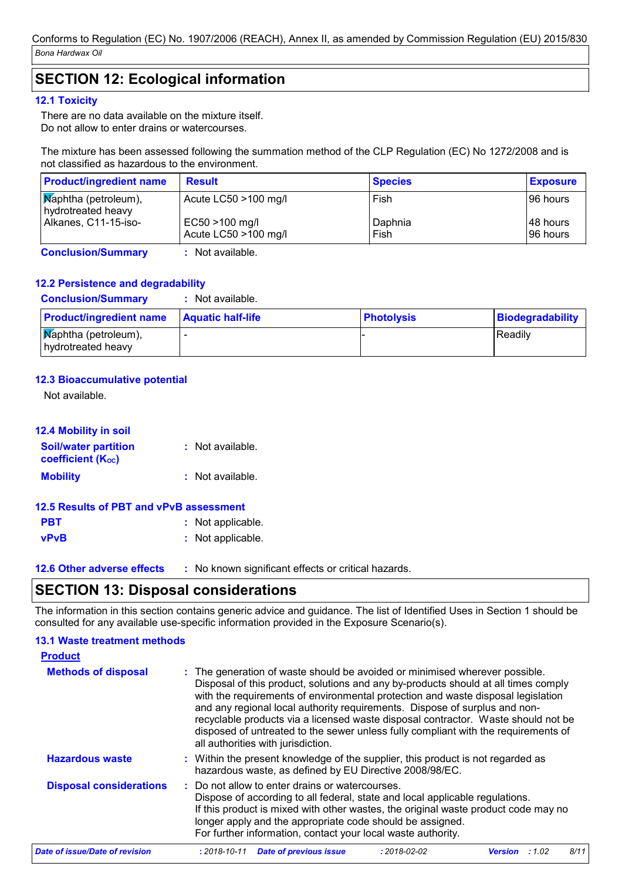### **SECTION 12: Ecological information**

#### **12.1 Toxicity**

There are no data available on the mixture itself. Do not allow to enter drains or watercourses.

The mixture has been assessed following the summation method of the CLP Regulation (EC) No 1272/2008 and is not classified as hazardous to the environment.

| <b>Product/ingredient name</b>                    | <b>Result</b>                          | <b>Species</b>  | <b>Exposure</b>        |
|---------------------------------------------------|----------------------------------------|-----------------|------------------------|
| <b>Maphtha</b> (petroleum),<br>hydrotreated heavy | Acute $LC50 > 100$ mg/l                | Fish            | I96 hours              |
| Alkanes, C11-15-iso-                              | EC50 >100 mg/l<br>Acute LC50 >100 mg/l | Daphnia<br>Fish | 148 hours<br>I96 hours |

**Conclusion/Summary :** Not available.

#### **12.2 Persistence and degradability**

**Conclusion/Summary :** Not available.

| <b>Product/ingredient name</b>                         | <b>Aquatic half-life</b> | <b>Photolysis</b> | Biodegradability |
|--------------------------------------------------------|--------------------------|-------------------|------------------|
| $\mathbf{N}$ aphtha (petroleum),<br>hydrotreated heavy |                          |                   | <b>Readily</b>   |

#### **12.3 Bioaccumulative potential**

Not available.

#### **12.4 Mobility in soil**

| <b>Soil/water partition</b><br><b>coefficient (Koc)</b> | : Not available. |  |  |  |  |
|---------------------------------------------------------|------------------|--|--|--|--|
| <b>Mobility</b>                                         | : Not available. |  |  |  |  |
| 12.5 Results of PBT and vPvB assessment                 |                  |  |  |  |  |

| <b>PBT</b>  | : Not applicable. |
|-------------|-------------------|
| <b>vPvB</b> | : Not applicable. |

**12.6 Other adverse effects** : No known significant effects or critical hazards.

### **SECTION 13: Disposal considerations**

The information in this section contains generic advice and guidance. The list of Identified Uses in Section 1 should be consulted for any available use-specific information provided in the Exposure Scenario(s).

#### **13.1 Waste treatment methods**

| <b>Product</b>                 |                                                                                                                                                                                                                                                                                                                                                                                                                                                                                                                                                      |
|--------------------------------|------------------------------------------------------------------------------------------------------------------------------------------------------------------------------------------------------------------------------------------------------------------------------------------------------------------------------------------------------------------------------------------------------------------------------------------------------------------------------------------------------------------------------------------------------|
| <b>Methods of disposal</b>     | : The generation of waste should be avoided or minimised wherever possible.<br>Disposal of this product, solutions and any by-products should at all times comply<br>with the requirements of environmental protection and waste disposal legislation<br>and any regional local authority requirements. Dispose of surplus and non-<br>recyclable products via a licensed waste disposal contractor. Waste should not be<br>disposed of untreated to the sewer unless fully compliant with the requirements of<br>all authorities with jurisdiction. |
| <b>Hazardous waste</b>         | : Within the present knowledge of the supplier, this product is not regarded as<br>hazardous waste, as defined by EU Directive 2008/98/EC.                                                                                                                                                                                                                                                                                                                                                                                                           |
| <b>Disposal considerations</b> | : Do not allow to enter drains or watercourses.<br>Dispose of according to all federal, state and local applicable regulations.<br>If this product is mixed with other wastes, the original waste product code may no<br>longer apply and the appropriate code should be assigned.<br>For further information, contact your local waste authority.                                                                                                                                                                                                   |

| Date of issue/Date of revision | : 2018-10-11 Date of previous issue | : 2018-02-02 | <b>Version</b> : 1.02 | 8/11 |
|--------------------------------|-------------------------------------|--------------|-----------------------|------|
|                                |                                     |              |                       |      |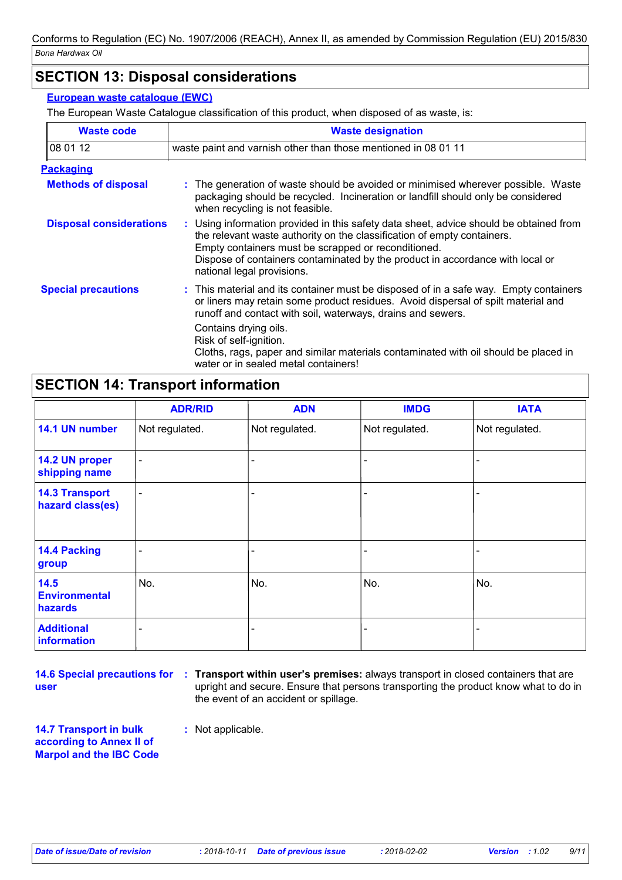### **SECTION 13: Disposal considerations**

#### **European waste catalogue (EWC)**

The European Waste Catalogue classification of this product, when disposed of as waste, is:

| <b>Waste code</b>              | <b>Waste designation</b>                                                                                                                                                                                                                                                                                                                |  |  |
|--------------------------------|-----------------------------------------------------------------------------------------------------------------------------------------------------------------------------------------------------------------------------------------------------------------------------------------------------------------------------------------|--|--|
| 08 01 12                       | waste paint and varnish other than those mentioned in 08 01 11                                                                                                                                                                                                                                                                          |  |  |
| <b>Packaging</b>               |                                                                                                                                                                                                                                                                                                                                         |  |  |
| <b>Methods of disposal</b>     | : The generation of waste should be avoided or minimised wherever possible. Waste<br>packaging should be recycled. Incineration or landfill should only be considered<br>when recycling is not feasible.                                                                                                                                |  |  |
| <b>Disposal considerations</b> | : Using information provided in this safety data sheet, advice should be obtained from<br>the relevant waste authority on the classification of empty containers.<br>Empty containers must be scrapped or reconditioned.<br>Dispose of containers contaminated by the product in accordance with local or<br>national legal provisions. |  |  |
| <b>Special precautions</b>     | : This material and its container must be disposed of in a safe way. Empty containers<br>or liners may retain some product residues. Avoid dispersal of spilt material and<br>runoff and contact with soil, waterways, drains and sewers.                                                                                               |  |  |
|                                | Contains drying oils.<br>Risk of self-ignition.<br>Cloths, rags, paper and similar materials contaminated with oil should be placed in<br>water or in sealed metal containers!                                                                                                                                                          |  |  |

### **SECTION 14: Transport information**

|                                           | <b>ADR/RID</b>           | <b>ADN</b>     | <b>IMDG</b>    | <b>IATA</b>    |
|-------------------------------------------|--------------------------|----------------|----------------|----------------|
| 14.1 UN number                            | Not regulated.           | Not regulated. | Not regulated. | Not regulated. |
| 14.2 UN proper<br>shipping name           | $\qquad \qquad$          |                |                |                |
| <b>14.3 Transport</b><br>hazard class(es) | $\overline{\phantom{0}}$ |                |                |                |
| <b>14.4 Packing</b><br>group              |                          |                |                |                |
| 14.5<br><b>Environmental</b><br>hazards   | No.                      | No.            | No.            | No.            |
| <b>Additional</b><br>information          |                          |                |                |                |

**user**

**14.6 Special precautions for : Transport within user's premises: always transport in closed containers that are** upright and secure. Ensure that persons transporting the product know what to do in the event of an accident or spillage.

**14.7 Transport in bulk according to Annex II of Marpol and the IBC Code**

**:** Not applicable.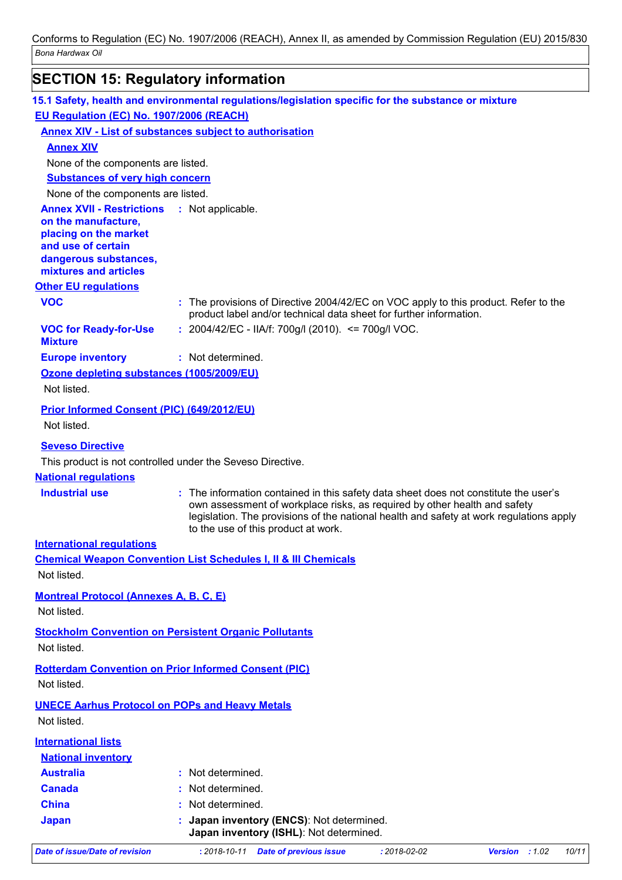## **SECTION 15: Regulatory information**

| 15.1 Safety, health and environmental regulations/legislation specific for the substance or mixture |                    |                                                                                                                                                                                                          |                    |                                                                                         |
|-----------------------------------------------------------------------------------------------------|--------------------|----------------------------------------------------------------------------------------------------------------------------------------------------------------------------------------------------------|--------------------|-----------------------------------------------------------------------------------------|
| EU Regulation (EC) No. 1907/2006 (REACH)                                                            |                    |                                                                                                                                                                                                          |                    |                                                                                         |
| <b>Annex XIV - List of substances subject to authorisation</b>                                      |                    |                                                                                                                                                                                                          |                    |                                                                                         |
| <b>Annex XIV</b>                                                                                    |                    |                                                                                                                                                                                                          |                    |                                                                                         |
| None of the components are listed.                                                                  |                    |                                                                                                                                                                                                          |                    |                                                                                         |
| <b>Substances of very high concern</b>                                                              |                    |                                                                                                                                                                                                          |                    |                                                                                         |
| None of the components are listed.                                                                  |                    |                                                                                                                                                                                                          |                    |                                                                                         |
| <b>Annex XVII - Restrictions : Not applicable.</b>                                                  |                    |                                                                                                                                                                                                          |                    |                                                                                         |
| on the manufacture,<br>placing on the market                                                        |                    |                                                                                                                                                                                                          |                    |                                                                                         |
| and use of certain                                                                                  |                    |                                                                                                                                                                                                          |                    |                                                                                         |
| dangerous substances,                                                                               |                    |                                                                                                                                                                                                          |                    |                                                                                         |
| mixtures and articles                                                                               |                    |                                                                                                                                                                                                          |                    |                                                                                         |
| <b>Other EU regulations</b>                                                                         |                    |                                                                                                                                                                                                          |                    |                                                                                         |
| <b>VOC</b>                                                                                          |                    | : The provisions of Directive 2004/42/EC on VOC apply to this product. Refer to the<br>product label and/or technical data sheet for further information.                                                |                    |                                                                                         |
| <b>VOC for Ready-for-Use</b><br><b>Mixture</b>                                                      |                    | : 2004/42/EC - IIA/f: 700g/l (2010). <= 700g/l VOC.                                                                                                                                                      |                    |                                                                                         |
| <b>Europe inventory</b>                                                                             | : Not determined.  |                                                                                                                                                                                                          |                    |                                                                                         |
| Ozone depleting substances (1005/2009/EU)                                                           |                    |                                                                                                                                                                                                          |                    |                                                                                         |
| Not listed.                                                                                         |                    |                                                                                                                                                                                                          |                    |                                                                                         |
| <b>Prior Informed Consent (PIC) (649/2012/EU)</b>                                                   |                    |                                                                                                                                                                                                          |                    |                                                                                         |
| Not listed.                                                                                         |                    |                                                                                                                                                                                                          |                    |                                                                                         |
| <b>Seveso Directive</b>                                                                             |                    |                                                                                                                                                                                                          |                    |                                                                                         |
| This product is not controlled under the Seveso Directive.                                          |                    |                                                                                                                                                                                                          |                    |                                                                                         |
| <b>National regulations</b>                                                                         |                    |                                                                                                                                                                                                          |                    |                                                                                         |
| <b>Industrial use</b>                                                                               |                    | : The information contained in this safety data sheet does not constitute the user's<br>own assessment of workplace risks, as required by other health and safety<br>to the use of this product at work. |                    | legislation. The provisions of the national health and safety at work regulations apply |
| <b>International regulations</b>                                                                    |                    |                                                                                                                                                                                                          |                    |                                                                                         |
| <b>Chemical Weapon Convention List Schedules I, II &amp; III Chemicals</b>                          |                    |                                                                                                                                                                                                          |                    |                                                                                         |
| Not listed.                                                                                         |                    |                                                                                                                                                                                                          |                    |                                                                                         |
| <b>Montreal Protocol (Annexes A, B, C, E)</b>                                                       |                    |                                                                                                                                                                                                          |                    |                                                                                         |
| Not listed.                                                                                         |                    |                                                                                                                                                                                                          |                    |                                                                                         |
| <b>Stockholm Convention on Persistent Organic Pollutants</b>                                        |                    |                                                                                                                                                                                                          |                    |                                                                                         |
| Not listed.                                                                                         |                    |                                                                                                                                                                                                          |                    |                                                                                         |
|                                                                                                     |                    |                                                                                                                                                                                                          |                    |                                                                                         |
| <b>Rotterdam Convention on Prior Informed Consent (PIC)</b><br>Not listed.                          |                    |                                                                                                                                                                                                          |                    |                                                                                         |
| <b>UNECE Aarhus Protocol on POPs and Heavy Metals</b>                                               |                    |                                                                                                                                                                                                          |                    |                                                                                         |
| Not listed.                                                                                         |                    |                                                                                                                                                                                                          |                    |                                                                                         |
| <b>International lists</b>                                                                          |                    |                                                                                                                                                                                                          |                    |                                                                                         |
| <b>National inventory</b>                                                                           |                    |                                                                                                                                                                                                          |                    |                                                                                         |
| <b>Australia</b>                                                                                    | Not determined.    |                                                                                                                                                                                                          |                    |                                                                                         |
| <b>Canada</b>                                                                                       | Not determined.    |                                                                                                                                                                                                          |                    |                                                                                         |
| <b>China</b>                                                                                        | Not determined.    |                                                                                                                                                                                                          |                    |                                                                                         |
| <b>Japan</b>                                                                                        |                    | Japan inventory (ENCS): Not determined.                                                                                                                                                                  |                    |                                                                                         |
|                                                                                                     |                    | Japan inventory (ISHL): Not determined.                                                                                                                                                                  |                    |                                                                                         |
| <b>Date of issue/Date of revision</b>                                                               | $: 2018 - 10 - 11$ | <b>Date of previous issue</b>                                                                                                                                                                            | $: 2018 - 02 - 02$ | 10/11<br>Version : 1.02                                                                 |